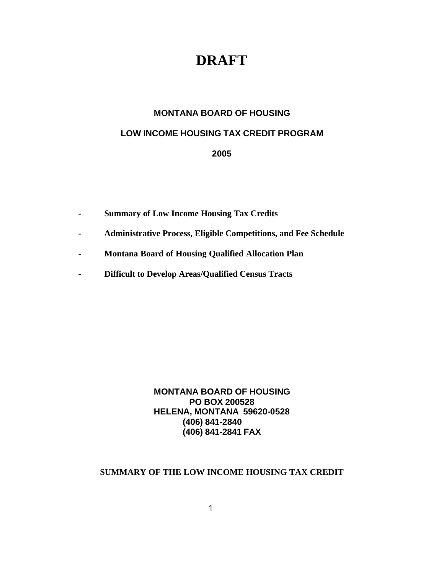# **DRAFT**

# **MONTANA BOARD OF HOUSING**

# **LOW INCOME HOUSING TAX CREDIT PROGRAM**

**2005**

- **- Summary of Low Income Housing Tax Credits**
- **- Administrative Process, Eligible Competitions, and Fee Schedule**
- **- Montana Board of Housing Qualified Allocation Plan**
- **- Difficult to Develop Areas/Qualified Census Tracts**

**MONTANA BOARD OF HOUSING PO BOX 200528 HELENA, MONTANA 59620-0528 (406) 841-2840 (406) 841-2841 FAX**

# **SUMMARY OF THE LOW INCOME HOUSING TAX CREDIT**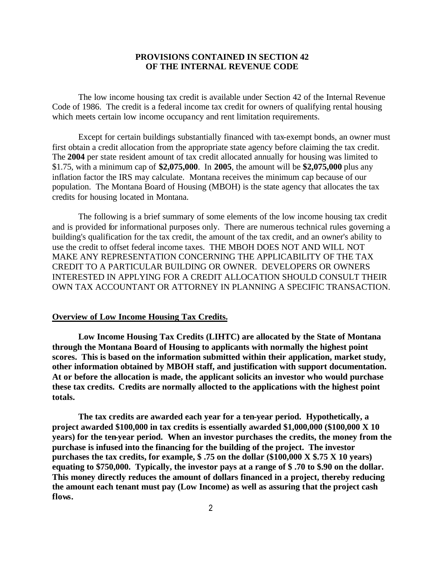# **PROVISIONS CONTAINED IN SECTION 42 OF THE INTERNAL REVENUE CODE**

The low income housing tax credit is available under Section 42 of the Internal Revenue Code of 1986. The credit is a federal income tax credit for owners of qualifying rental housing which meets certain low income occupancy and rent limitation requirements.

Except for certain buildings substantially financed with tax-exempt bonds, an owner must first obtain a credit allocation from the appropriate state agency before claiming the tax credit. The **2004** per state resident amount of tax credit allocated annually for housing was limited to \$1.75, with a minimum cap of **\$2,075,000**. In **2005**, the amount will be **\$2,075,000** plus any inflation factor the IRS may calculate. Montana receives the minimum cap because of our population. The Montana Board of Housing (MBOH) is the state agency that allocates the tax credits for housing located in Montana.

The following is a brief summary of some elements of the low income housing tax credit and is provided for informational purposes only. There are numerous technical rules governing a building's qualification for the tax credit, the amount of the tax credit, and an owner's ability to use the credit to offset federal income taxes. THE MBOH DOES NOT AND WILL NOT MAKE ANY REPRESENTATION CONCERNING THE APPLICABILITY OF THE TAX CREDIT TO A PARTICULAR BUILDING OR OWNER. DEVELOPERS OR OWNERS INTERESTED IN APPLYING FOR A CREDIT ALLOCATION SHOULD CONSULT THEIR OWN TAX ACCOUNTANT OR ATTORNEY IN PLANNING A SPECIFIC TRANSACTION.

### **Overview of Low Income Housing Tax Credits.**

**Low Income Housing Tax Credits (LIHTC) are allocated by the State of Montana through the Montana Board of Housing to applicants with normally the highest point scores. This is based on the information submitted within their application, market study, other information obtained by MBOH staff, and justification with support documentation. At or before the allocation is made, the applicant solicits an investor who would purchase these tax credits. Credits are normally allocted to the applications with the highest point totals.**

**The tax credits are awarded each year for a ten-year period. Hypothetically, a project awarded \$100,000 in tax credits is essentially awarded \$1,000,000 (\$100,000 X 10 years) for the ten-year period. When an investor purchases the credits, the money from the purchase is infused into the financing for the building of the project. The investor purchases the tax credits, for example, \$ .75 on the dollar (\$100,000 X \$.75 X 10 years) equating to \$750,000. Typically, the investor pays at a range of \$ .70 to \$.90 on the dollar. This money directly reduces the amount of dollars financed in a project, thereby reducing the amount each tenant must pay (Low Income) as well as assuring that the project cash flows.**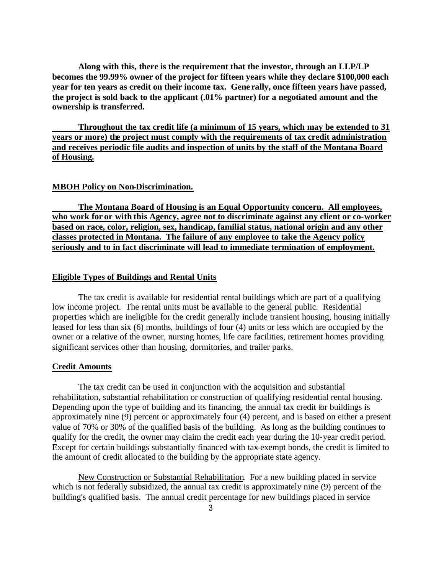**Along with this, there is the requirement that the investor, through an LLP/LP becomes the 99.99% owner of the project for fifteen years while they declare \$100,000 each year for ten years as credit on their income tax. Gene rally, once fifteen years have passed, the project is sold back to the applicant (.01% partner) for a negotiated amount and the ownership is transferred.**

**Throughout the tax credit life (a minimum of 15 years, which may be extended to 31 years or more) the project must comply with the requirements of tax credit administration and receives periodic file audits and inspection of units by the staff of the Montana Board of Housing.** 

### **MBOH Policy on Non-Discrimination.**

**The Montana Board of Housing is an Equal Opportunity concern. All employees, who work for or with this Agency, agree not to discriminate against any client or co-worker based on race, color, religion, sex, handicap, familial status, national origin and any other classes protected in Montana. The failure of any employee to take the Agency policy seriously and to in fact discriminate will lead to immediate termination of employment.**

### **Eligible Types of Buildings and Rental Units**

The tax credit is available for residential rental buildings which are part of a qualifying low income project. The rental units must be available to the general public. Residential properties which are ineligible for the credit generally include transient housing, housing initially leased for less than six (6) months, buildings of four (4) units or less which are occupied by the owner or a relative of the owner, nursing homes, life care facilities, retirement homes providing significant services other than housing, dormitories, and trailer parks.

### **Credit Amounts**

The tax credit can be used in conjunction with the acquisition and substantial rehabilitation, substantial rehabilitation or construction of qualifying residential rental housing. Depending upon the type of building and its financing, the annual tax credit for buildings is approximately nine (9) percent or approximately four (4) percent, and is based on either a present value of 70% or 30% of the qualified basis of the building. As long as the building continues to qualify for the credit, the owner may claim the credit each year during the 10-year credit period. Except for certain buildings substantially financed with tax-exempt bonds, the credit is limited to the amount of credit allocated to the building by the appropriate state agency.

New Construction or Substantial Rehabilitation. For a new building placed in service which is not federally subsidized, the annual tax credit is approximately nine (9) percent of the building's qualified basis. The annual credit percentage for new buildings placed in service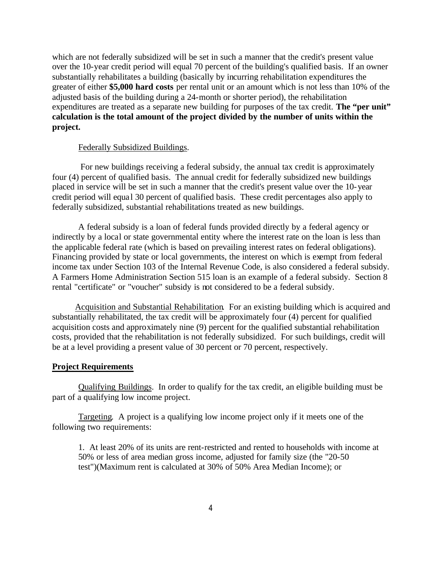which are not federally subsidized will be set in such a manner that the credit's present value over the 10-year credit period will equal 70 percent of the building's qualified basis. If an owner substantially rehabilitates a building (basically by incurring rehabilitation expenditures the greater of either **\$5,000 hard costs** per rental unit or an amount which is not less than 10% of the adjusted basis of the building during a 24-month or shorter period), the rehabilitation expenditures are treated as a separate new building for purposes of the tax credit. **The "per unit" calculation is the total amount of the project divided by the number of units within the project.** 

### Federally Subsidized Buildings.

 For new buildings receiving a federal subsidy, the annual tax credit is approximately four (4) percent of qualified basis. The annual credit for federally subsidized new buildings placed in service will be set in such a manner that the credit's present value over the 10-year credit period will equa l 30 percent of qualified basis. These credit percentages also apply to federally subsidized, substantial rehabilitations treated as new buildings.

A federal subsidy is a loan of federal funds provided directly by a federal agency or indirectly by a local or state governmental entity where the interest rate on the loan is less than the applicable federal rate (which is based on prevailing interest rates on federal obligations). Financing provided by state or local governments, the interest on which is exempt from federal income tax under Section 103 of the Internal Revenue Code, is also considered a federal subsidy. A Farmers Home Administration Section 515 loan is an example of a federal subsidy. Section 8 rental "certificate" or "voucher" subsidy is not considered to be a federal subsidy.

Acquisition and Substantial Rehabilitation. For an existing building which is acquired and substantially rehabilitated, the tax credit will be approximately four (4) percent for qualified acquisition costs and approximately nine (9) percent for the qualified substantial rehabilitation costs, provided that the rehabilitation is not federally subsidized. For such buildings, credit will be at a level providing a present value of 30 percent or 70 percent, respectively.

### **Project Requirements**

Qualifying Buildings. In order to qualify for the tax credit, an eligible building must be part of a qualifying low income project.

Targeting. A project is a qualifying low income project only if it meets one of the following two requirements:

1. At least 20% of its units are rent-restricted and rented to households with income at 50% or less of area median gross income, adjusted for family size (the "20-50 test")(Maximum rent is calculated at 30% of 50% Area Median Income); or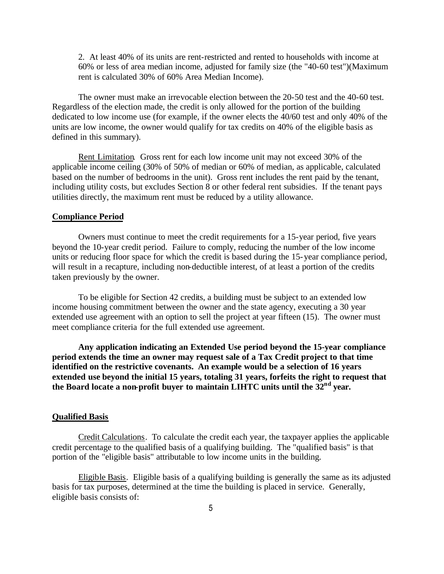2. At least 40% of its units are rent-restricted and rented to households with income at 60% or less of area median income, adjusted for family size (the "40-60 test")(Maximum rent is calculated 30% of 60% Area Median Income).

The owner must make an irrevocable election between the 20-50 test and the 40-60 test. Regardless of the election made, the credit is only allowed for the portion of the building dedicated to low income use (for example, if the owner elects the 40/60 test and only 40% of the units are low income, the owner would qualify for tax credits on 40% of the eligible basis as defined in this summary).

Rent Limitation. Gross rent for each low income unit may not exceed 30% of the applicable income ceiling (30% of 50% of median or 60% of median, as applicable, calculated based on the number of bedrooms in the unit). Gross rent includes the rent paid by the tenant, including utility costs, but excludes Section 8 or other federal rent subsidies. If the tenant pays utilities directly, the maximum rent must be reduced by a utility allowance.

### **Compliance Period**

Owners must continue to meet the credit requirements for a 15-year period, five years beyond the 10-year credit period. Failure to comply, reducing the number of the low income units or reducing floor space for which the credit is based during the 15-year compliance period, will result in a recapture, including non-deductible interest, of at least a portion of the credits taken previously by the owner.

To be eligible for Section 42 credits, a building must be subject to an extended low income housing commitment between the owner and the state agency, executing a 30 year extended use agreement with an option to sell the project at year fifteen (15). The owner must meet compliance criteria for the full extended use agreement.

**Any application indicating an Extended Use period beyond the 15-year compliance period extends the time an owner may request sale of a Tax Credit project to that time identified on the restrictive covenants. An example would be a selection of 16 years extended use beyond the initial 15 years, totaling 31 years, forfeits the right to request that the Board locate a non-profit buyer to maintain LIHTC units until the 32nd year.**

#### **Qualified Basis**

Credit Calculations. To calculate the credit each year, the taxpayer applies the applicable credit percentage to the qualified basis of a qualifying building. The "qualified basis" is that portion of the "eligible basis" attributable to low income units in the building.

Eligible Basis. Eligible basis of a qualifying building is generally the same as its adjusted basis for tax purposes, determined at the time the building is placed in service. Generally, eligible basis consists of: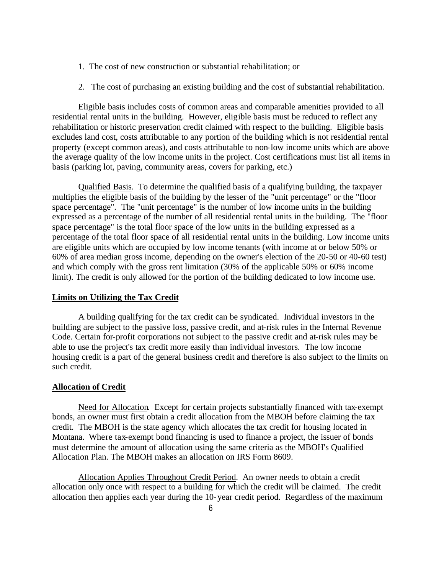- 1. The cost of new construction or substantial rehabilitation; or
- 2. The cost of purchasing an existing building and the cost of substantial rehabilitation.

Eligible basis includes costs of common areas and comparable amenities provided to all residential rental units in the building. However, eligible basis must be reduced to reflect any rehabilitation or historic preservation credit claimed with respect to the building. Eligible basis excludes land cost, costs attributable to any portion of the building which is not residential rental property (except common areas), and costs attributable to non-low income units which are above the average quality of the low income units in the project. Cost certifications must list all items in basis (parking lot, paving, community areas, covers for parking, etc.)

Qualified Basis. To determine the qualified basis of a qualifying building, the taxpayer multiplies the eligible basis of the building by the lesser of the "unit percentage" or the "floor space percentage". The "unit percentage" is the number of low income units in the building expressed as a percentage of the number of all residential rental units in the building. The "floor space percentage" is the total floor space of the low units in the building expressed as a percentage of the total floor space of all residential rental units in the building. Low income units are eligible units which are occupied by low income tenants (with income at or below 50% or 60% of area median gross income, depending on the owner's election of the 20-50 or 40-60 test) and which comply with the gross rent limitation (30% of the applicable 50% or 60% income limit). The credit is only allowed for the portion of the building dedicated to low income use.

# **Limits on Utilizing the Tax Credit**

A building qualifying for the tax credit can be syndicated. Individual investors in the building are subject to the passive loss, passive credit, and at-risk rules in the Internal Revenue Code. Certain for-profit corporations not subject to the passive credit and at-risk rules may be able to use the project's tax credit more easily than individual investors. The low income housing credit is a part of the general business credit and therefore is also subject to the limits on such credit.

### **Allocation of Credit**

Need for Allocation. Except for certain projects substantially financed with tax-exempt bonds, an owner must first obtain a credit allocation from the MBOH before claiming the tax credit. The MBOH is the state agency which allocates the tax credit for housing located in Montana. Where tax-exempt bond financing is used to finance a project, the issuer of bonds must determine the amount of allocation using the same criteria as the MBOH's Qualified Allocation Plan. The MBOH makes an allocation on IRS Form 8609.

Allocation Applies Throughout Credit Period. An owner needs to obtain a credit allocation only once with respect to a building for which the credit will be claimed. The credit allocation then applies each year during the 10-year credit period. Regardless of the maximum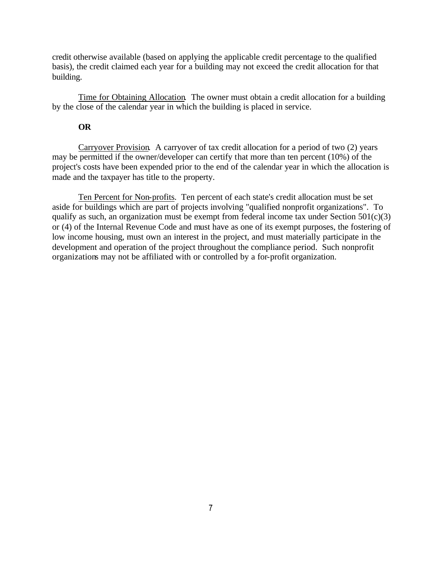credit otherwise available (based on applying the applicable credit percentage to the qualified basis), the credit claimed each year for a building may not exceed the credit allocation for that building.

Time for Obtaining Allocation. The owner must obtain a credit allocation for a building by the close of the calendar year in which the building is placed in service.

# **OR**

Carryover Provision. A carryover of tax credit allocation for a period of two (2) years may be permitted if the owner/developer can certify that more than ten percent (10%) of the project's costs have been expended prior to the end of the calendar year in which the allocation is made and the taxpayer has title to the property.

Ten Percent for Non-profits. Ten percent of each state's credit allocation must be set aside for buildings which are part of projects involving "qualified nonprofit organizations". To qualify as such, an organization must be exempt from federal income tax under Section  $501(c)(3)$ or (4) of the Internal Revenue Code and must have as one of its exempt purposes, the fostering of low income housing, must own an interest in the project, and must materially participate in the development and operation of the project throughout the compliance period. Such nonprofit organizations may not be affiliated with or controlled by a for-profit organization.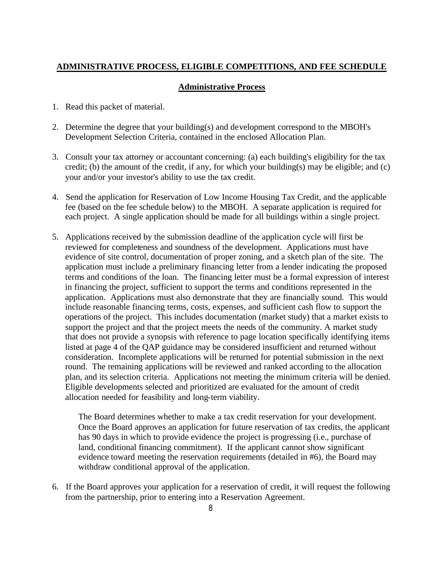# **ADMINISTRATIVE PROCESS, ELIGIBLE COMPETITIONS, AND FEE SCHEDULE**

# **Administrative Process**

- 1. Read this packet of material.
- 2. Determine the degree that your building(s) and development correspond to the MBOH's Development Selection Criteria, contained in the enclosed Allocation Plan.
- 3. Consult your tax attorney or accountant concerning: (a) each building's eligibility for the tax credit; (b) the amount of the credit, if any, for which your building(s) may be eligible; and (c) your and/or your investor's ability to use the tax credit.
- 4. Send the application for Reservation of Low Income Housing Tax Credit, and the applicable fee (based on the fee schedule below) to the MBOH. A separate application is required for each project. A single application should be made for all buildings within a single project.
- 5. Applications received by the submission deadline of the application cycle will first be reviewed for completeness and soundness of the development. Applications must have evidence of site control, documentation of proper zoning, and a sketch plan of the site. The application must include a preliminary financing letter from a lender indicating the proposed terms and conditions of the loan. The financing letter must be a formal expression of interest in financing the project, sufficient to support the terms and conditions represented in the application. Applications must also demonstrate that they are financially sound. This would include reasonable financing terms, costs, expenses, and sufficient cash flow to support the operations of the project. This includes documentation (market study) that a market exists to support the project and that the project meets the needs of the community. A market study that does not provide a synopsis with reference to page location specifically identifying items listed at page 4 of the QAP guidance may be considered insufficient and returned without consideration. Incomplete applications will be returned for potential submission in the next round. The remaining applications will be reviewed and ranked according to the allocation plan, and its selection criteria. Applications not meeting the minimum criteria will be denied. Eligible developments selected and prioritized are evaluated for the amount of credit allocation needed for feasibility and long-term viability.

The Board determines whether to make a tax credit reservation for your development. Once the Board approves an application for future reservation of tax credits, the applicant has 90 days in which to provide evidence the project is progressing (i.e., purchase of land, conditional financing commitment). If the applicant cannot show significant evidence toward meeting the reservation requirements (detailed in #6), the Board may withdraw conditional approval of the application.

6. If the Board approves your application for a reservation of credit, it will request the following from the partnership, prior to entering into a Reservation Agreement.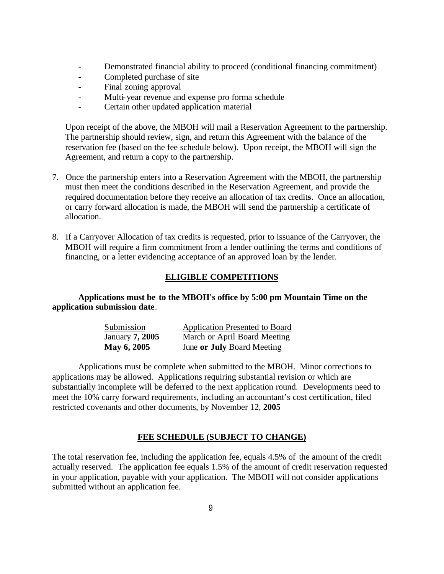- Demonstrated financial ability to proceed (conditional financing commitment)
- Completed purchase of site
- Final zoning approval
- Multi-year revenue and expense pro forma schedule
- Certain other updated application material

Upon receipt of the above, the MBOH will mail a Reservation Agreement to the partnership. The partnership should review, sign, and return this Agreement with the balance of the reservation fee (based on the fee schedule below). Upon receipt, the MBOH will sign the Agreement, and return a copy to the partnership.

- 7. Once the partnership enters into a Reservation Agreement with the MBOH, the partnership must then meet the conditions described in the Reservation Agreement, and provide the required documentation before they receive an allocation of tax credit**s**. Once an allocation, or carry forward allocation is made, the MBOH will send the partnership a certificate of allocation.
- 8. If a Carryover Allocation of tax credits is requested, prior to issuance of the Carryover, the MBOH will require a firm commitment from a lender outlining the terms and conditions of financing, or a letter evidencing acceptance of an approved loan by the lender.

# **ELIGIBLE COMPETITIONS**

**Applications must be to the MBOH's office by 5:00 pm Mountain Time on the application submission date**.

| Submission      | <b>Application Presented to Board</b> |
|-----------------|---------------------------------------|
| January 7, 2005 | March or April Board Meeting          |
| May 6, 2005     | June or July Board Meeting            |

Applications must be complete when submitted to the MBOH. Minor corrections to applications may be allowed. Applications requiring substantial revision or which are substantially incomplete will be deferred to the next application round. Developments need to meet the 10% carry forward requirements, including an accountant's cost certification, filed restricted covenants and other documents, by November 12, **2005**

# **FEE SCHEDULE (SUBJECT TO CHANGE)**

The total reservation fee, including the application fee, equals 4.5% of the amount of the credit actually reserved. The application fee equals 1.5% of the amount of credit reservation requested in your application, payable with your application. The MBOH will not consider applications submitted without an application fee.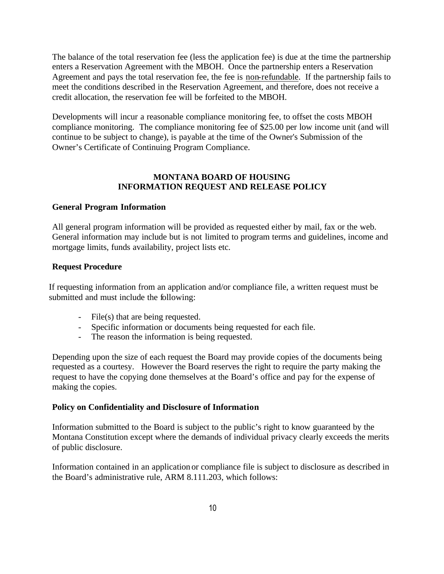The balance of the total reservation fee (less the application fee) is due at the time the partnership enters a Reservation Agreement with the MBOH. Once the partnership enters a Reservation Agreement and pays the total reservation fee, the fee is non-refundable. If the partnership fails to meet the conditions described in the Reservation Agreement, and therefore, does not receive a credit allocation, the reservation fee will be forfeited to the MBOH.

Developments will incur a reasonable compliance monitoring fee, to offset the costs MBOH compliance monitoring. The compliance monitoring fee of \$25.00 per low income unit (and will continue to be subject to change), is payable at the time of the Owner's Submission of the Owner's Certificate of Continuing Program Compliance.

# **MONTANA BOARD OF HOUSING INFORMATION REQUEST AND RELEASE POLICY**

# **General Program Information**

All general program information will be provided as requested either by mail, fax or the web. General information may include but is not limited to program terms and guidelines, income and mortgage limits, funds availability, project lists etc.

# **Request Procedure**

If requesting information from an application and/or compliance file, a written request must be submitted and must include the following:

- File(s) that are being requested.
- Specific information or documents being requested for each file.
- The reason the information is being requested.

Depending upon the size of each request the Board may provide copies of the documents being requested as a courtesy. However the Board reserves the right to require the party making the request to have the copying done themselves at the Board's office and pay for the expense of making the copies.

# **Policy on Confidentiality and Disclosure of Information**

Information submitted to the Board is subject to the public's right to know guaranteed by the Montana Constitution except where the demands of individual privacy clearly exceeds the merits of public disclosure.

Information contained in an application or compliance file is subject to disclosure as described in the Board's administrative rule, ARM 8.111.203, which follows: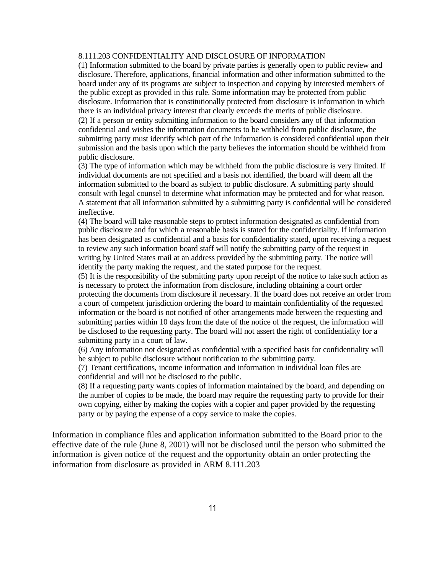### 8.111.203 CONFIDENTIALITY AND DISCLOSURE OF INFORMATION

(1) Information submitted to the board by private parties is generally open to public review and disclosure. Therefore, applications, financial information and other information submitted to the board under any of its programs are subject to inspection and copying by interested members of the public except as provided in this rule. Some information may be protected from public disclosure. Information that is constitutionally protected from disclosure is information in which there is an individual privacy interest that clearly exceeds the merits of public disclosure. (2) If a person or entity submitting information to the board considers any of that information confidential and wishes the information documents to be withheld from public disclosure, the submitting party must identify which part of the information is considered confidential upon their submission and the basis upon which the party believes the information should be withheld from public disclosure.

(3) The type of information which may be withheld from the public disclosure is very limited. If individual documents are not specified and a basis not identified, the board will deem all the information submitted to the board as subject to public disclosure. A submitting party should consult with legal counsel to determine what information may be protected and for what reason. A statement that all information submitted by a submitting party is confidential will be considered ineffective.

(4) The board will take reasonable steps to protect information designated as confidential from public disclosure and for which a reasonable basis is stated for the confidentiality. If information has been designated as confidential and a basis for confidentiality stated, upon receiving a request to review any such information board staff will notify the submitting party of the request in writing by United States mail at an address provided by the submitting party. The notice will identify the party making the request, and the stated purpose for the request.

(5) It is the responsibility of the submitting party upon receipt of the notice to take such action as is necessary to protect the information from disclosure, including obtaining a court order protecting the documents from disclosure if necessary. If the board does not receive an order from a court of competent jurisdiction ordering the board to maintain confidentiality of the requested information or the board is not notified of other arrangements made between the requesting and submitting parties within 10 days from the date of the notice of the request, the information will be disclosed to the requesting party. The board will not assert the right of confidentiality for a submitting party in a court of law.

(6) Any information not designated as confidential with a specified basis for confidentiality will be subject to public disclosure without notification to the submitting party.

(7) Tenant certifications, income information and information in individual loan files are confidential and will not be disclosed to the public.

(8) If a requesting party wants copies of information maintained by the board, and depending on the number of copies to be made, the board may require the requesting party to provide for their own copying, either by making the copies with a copier and paper provided by the requesting party or by paying the expense of a copy service to make the copies.

Information in compliance files and application information submitted to the Board prior to the effective date of the rule (June 8, 2001) will not be disclosed until the person who submitted the information is given notice of the request and the opportunity obtain an order protecting the information from disclosure as provided in ARM 8.111.203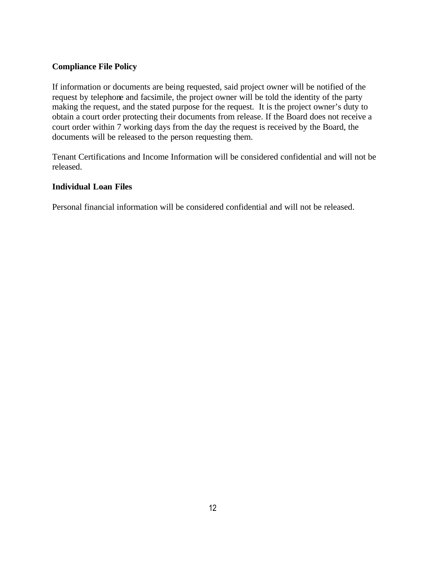# **Compliance File Policy**

If information or documents are being requested, said project owner will be notified of the request by telephone and facsimile, the project owner will be told the identity of the party making the request, and the stated purpose for the request. It is the project owner's duty to obtain a court order protecting their documents from release. If the Board does not receive a court order within 7 working days from the day the request is received by the Board, the documents will be released to the person requesting them.

Tenant Certifications and Income Information will be considered confidential and will not be released.

# **Individual Loan Files**

Personal financial information will be considered confidential and will not be released.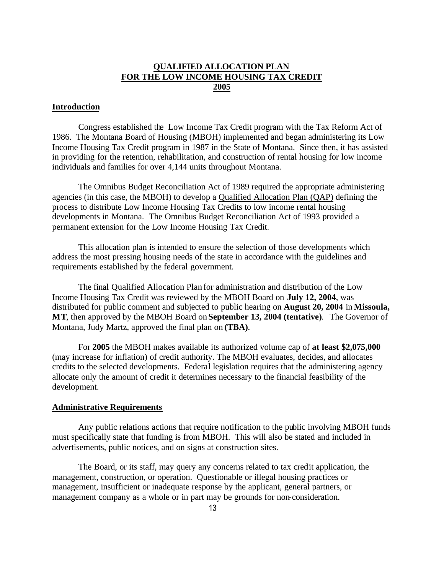# **QUALIFIED ALLOCATION PLAN FOR THE LOW INCOME HOUSING TAX CREDIT 2005**

# **Introduction**

Congress established the Low Income Tax Credit program with the Tax Reform Act of 1986. The Montana Board of Housing (MBOH) implemented and began administering its Low Income Housing Tax Credit program in 1987 in the State of Montana. Since then, it has assisted in providing for the retention, rehabilitation, and construction of rental housing for low income individuals and families for over 4,144 units throughout Montana.

The Omnibus Budget Reconciliation Act of 1989 required the appropriate administering agencies (in this case, the MBOH) to develop a Qualified Allocation Plan (QAP) defining the process to distribute Low Income Housing Tax Credits to low income rental housing developments in Montana. The Omnibus Budget Reconciliation Act of 1993 provided a permanent extension for the Low Income Housing Tax Credit.

This allocation plan is intended to ensure the selection of those developments which address the most pressing housing needs of the state in accordance with the guidelines and requirements established by the federal government.

The final Qualified Allocation Plan for administration and distribution of the Low Income Housing Tax Credit was reviewed by the MBOH Board on **July 12, 2004**, was distributed for public comment and subjected to public hearing on **August 20, 2004** in **Missoula, MT**, then approved by the MBOH Board on **September 13, 2004 (tentative)**. The Governor of Montana, Judy Martz, approved the final plan on **(TBA)**.

For **2005** the MBOH makes available its authorized volume cap of **at least \$2,075,000** (may increase for inflation) of credit authority. The MBOH evaluates, decides, and allocates credits to the selected developments. Federal legislation requires that the administering agency allocate only the amount of credit it determines necessary to the financial feasibility of the development.

### **Administrative Requirements**

Any public relations actions that require notification to the public involving MBOH funds must specifically state that funding is from MBOH. This will also be stated and included in advertisements, public notices, and on signs at construction sites.

The Board, or its staff, may query any concerns related to tax credit application, the management, construction, or operation. Questionable or illegal housing practices or management, insufficient or inadequate response by the applicant, general partners, or management company as a whole or in part may be grounds for non-consideration.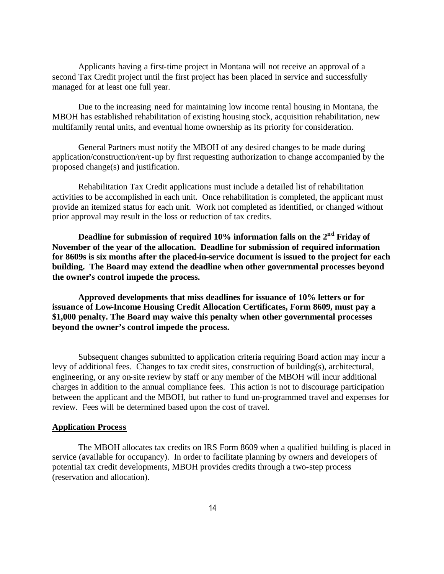Applicants having a first-time project in Montana will not receive an approval of a second Tax Credit project until the first project has been placed in service and successfully managed for at least one full year.

Due to the increasing need for maintaining low income rental housing in Montana, the MBOH has established rehabilitation of existing housing stock, acquisition rehabilitation, new multifamily rental units, and eventual home ownership as its priority for consideration.

General Partners must notify the MBOH of any desired changes to be made during application/construction/rent-up by first requesting authorization to change accompanied by the proposed change(s) and justification.

Rehabilitation Tax Credit applications must include a detailed list of rehabilitation activities to be accomplished in each unit. Once rehabilitation is completed, the applicant must provide an itemized status for each unit. Work not completed as identified, or changed without prior approval may result in the loss or reduction of tax credits.

**Deadline for submission of required 10% information falls on the 2nd Friday of November of the year of the allocation. Deadline for submission of required information for 8609s is six months after the placed-in-service document is issued to the project for each building. The Board may extend the deadline when other governmental processes beyond the owner's control impede the process.**

**Approved developments that miss deadlines for issuance of 10% letters or for issuance of Low-Income Housing Credit Allocation Certificates, Form 8609, must pay a \$1,000 penalty. The Board may waive this penalty when other governmental processes beyond the owner's control impede the process.**

Subsequent changes submitted to application criteria requiring Board action may incur a levy of additional fees. Changes to tax credit sites, construction of building(s), architectural, engineering, or any on-site review by staff or any member of the MBOH will incur additional charges in addition to the annual compliance fees. This action is not to discourage participation between the applicant and the MBOH, but rather to fund un-programmed travel and expenses for review. Fees will be determined based upon the cost of travel.

### **Application Process**

The MBOH allocates tax credits on IRS Form 8609 when a qualified building is placed in service (available for occupancy). In order to facilitate planning by owners and developers of potential tax credit developments, MBOH provides credits through a two-step process (reservation and allocation).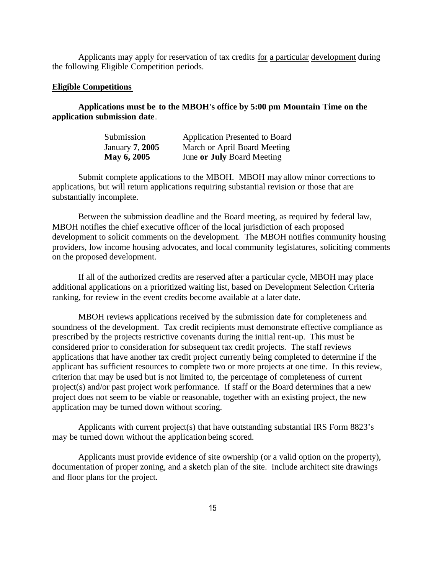Applicants may apply for reservation of tax credits for a particular development during the following Eligible Competition periods.

#### **Eligible Competitions**

# **Applications must be to the MBOH's office by 5:00 pm Mountain Time on the application submission date**.

| Submission      | <b>Application Presented to Board</b> |
|-----------------|---------------------------------------|
| January 7, 2005 | March or April Board Meeting          |
| May 6, 2005     | June or July Board Meeting            |

Submit complete applications to the MBOH. MBOH may allow minor corrections to applications, but will return applications requiring substantial revision or those that are substantially incomplete.

Between the submission deadline and the Board meeting, as required by federal law, MBOH notifies the chief executive officer of the local jurisdiction of each proposed development to solicit comments on the development. The MBOH notifies community housing providers, low income housing advocates, and local community legislatures, soliciting comments on the proposed development.

If all of the authorized credits are reserved after a particular cycle, MBOH may place additional applications on a prioritized waiting list, based on Development Selection Criteria ranking, for review in the event credits become available at a later date.

MBOH reviews applications received by the submission date for completeness and soundness of the development. Tax credit recipients must demonstrate effective compliance as prescribed by the projects restrictive covenants during the initial rent-up. This must be considered prior to consideration for subsequent tax credit projects. The staff reviews applications that have another tax credit project currently being completed to determine if the applicant has sufficient resources to complete two or more projects at one time. In this review, criterion that may be used but is not limited to, the percentage of completeness of current project(s) and/or past project work performance. If staff or the Board determines that a new project does not seem to be viable or reasonable, together with an existing project, the new application may be turned down without scoring.

Applicants with current project(s) that have outstanding substantial IRS Form 8823's may be turned down without the application being scored.

Applicants must provide evidence of site ownership (or a valid option on the property), documentation of proper zoning, and a sketch plan of the site. Include architect site drawings and floor plans for the project.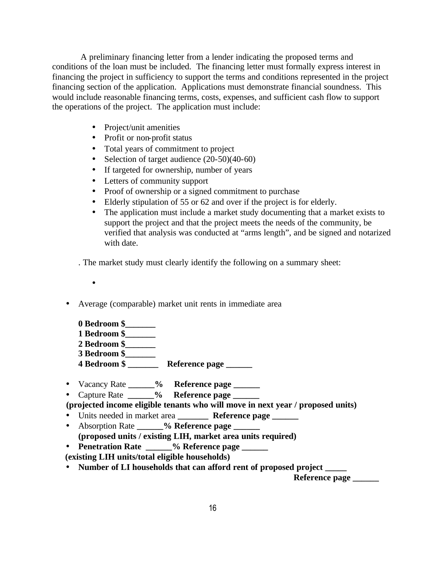A preliminary financing letter from a lender indicating the proposed terms and conditions of the loan must be included. The financing letter must formally express interest in financing the project in sufficiency to support the terms and conditions represented in the project financing section of the application. Applications must demonstrate financial soundness. This would include reasonable financing terms, costs, expenses, and sufficient cash flow to support the operations of the project. The application must include:

- Project/unit amenities
- Profit or non-profit status
- Total years of commitment to project
- Selection of target audience  $(20-50)(40-60)$
- If targeted for ownership, number of years
- Letters of community support
- Proof of ownership or a signed commitment to purchase
- Elderly stipulation of 55 or 62 and over if the project is for elderly.
- The application must include a market study documenting that a market exists to support the project and that the project meets the needs of the community, be verified that analysis was conducted at "arms length", and be signed and notarized with date.

. The market study must clearly identify the following on a summary sheet:

- •
- Average (comparable) market unit rents in immediate area
	- **0 Bedroom \$\_\_\_\_\_\_\_ 1 Bedroom \$\_\_\_\_\_\_\_ 2 Bedroom \$\_\_\_\_\_\_\_ 3 Bedroom \$\_\_\_\_\_\_\_ 4 Bedroom \$ \_\_\_\_\_\_\_ Reference page \_\_\_\_\_\_**
- Vacancy Rate **\_\_\_\_\_\_% Reference page \_\_\_\_\_\_**
- Capture Rate **\_\_\_\_\_\_% Reference page \_\_\_\_\_\_**
- **(projected income eligible tenants who will move in next year / proposed units)**
- Units needed in market area **\_\_\_\_\_\_\_ Reference page \_\_\_\_\_\_** • Absorption Rate **\_\_\_\_\_\_% Reference page \_\_\_\_\_\_**
- **(proposed units / existing LIH, market area units required)**
- **Penetration Rate** % Reference page
- **(existing LIH units/total eligible households)**
- Number of LI households that can afford rent of proposed project

**Reference page**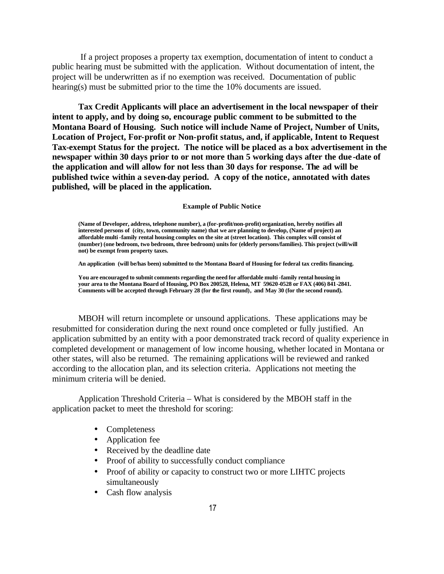If a project proposes a property tax exemption, documentation of intent to conduct a public hearing must be submitted with the application. Without documentation of intent, the project will be underwritten as if no exemption was received. Documentation of public hearing(s) must be submitted prior to the time the 10% documents are issued.

**Tax Credit Applicants will place an advertisement in the local newspaper of their intent to apply, and by doing so, encourage public comment to be submitted to the Montana Board of Housing. Such notice will include Name of Project, Number of Units, Location of Project, For-profit or Non-profit status, and, if applicable, Intent to Request Tax-exempt Status for the project. The notice will be placed as a box advertisement in the newspaper within 30 days prior to or not more than 5 working days after the due -date of the application and will allow for not less than 30 days for response. The ad will be published twice within a seven-day period. A copy of the notice, annotated with dates published, will be placed in the application.**

#### **Example of Public Notice**

**(Name of Developer, address, telephone number), a (for-profit/non-profit) organization, hereby notifies all interested persons of (city, town, community name) that we are planning to develop, (Name of project) an affordable multi-family rental housing complex on the site at (street location). This complex will consist of (number) (one bedroom, two bedroom, three bedroom) units for (elderly persons/families). This project (will/will not) be exempt from property taxes.** 

**An application (will be/has been) submitted to the Montana Board of Housing for federal tax credits financing.** 

**You are encouraged to submit comments regarding the need for affordable multi -family rental housing in your area to the Montana Board of Housing, PO Box 200528, Helena, MT 59620-0528 or FAX (406) 841-2841. Comments will be accepted through February 28 (for the first round), and May 30 (for the second round).** 

MBOH will return incomplete or unsound applications. These applications may be resubmitted for consideration during the next round once completed or fully justified. An application submitted by an entity with a poor demonstrated track record of quality experience in completed development or management of low income housing, whether located in Montana or other states, will also be returned. The remaining applications will be reviewed and ranked according to the allocation plan, and its selection criteria. Applications not meeting the minimum criteria will be denied.

Application Threshold Criteria – What is considered by the MBOH staff in the application packet to meet the threshold for scoring:

- Completeness
- Application fee
- Received by the deadline date
- Proof of ability to successfully conduct compliance
- Proof of ability or capacity to construct two or more LIHTC projects simultaneously
- Cash flow analysis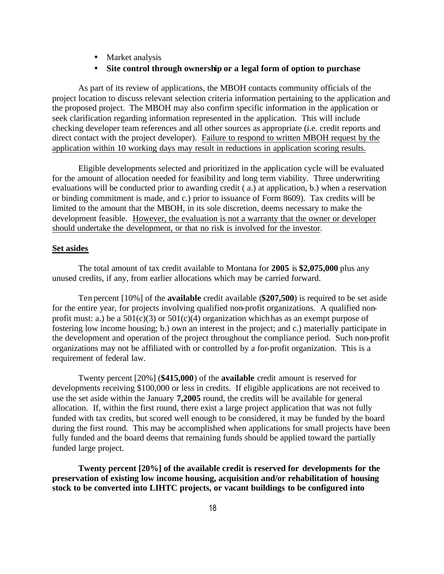- Market analysis
- **Site control through ownership or a legal form of option to purchase**

As part of its review of applications, the MBOH contacts community officials of the project location to discuss relevant selection criteria information pertaining to the application and the proposed project. The MBOH may also confirm specific information in the application or seek clarification regarding information represented in the application. This will include checking developer team references and all other sources as appropriate (i.e. credit reports and direct contact with the project developer). Failure to respond to written MBOH request by the application within 10 working days may result in reductions in application scoring results.

Eligible developments selected and prioritized in the application cycle will be evaluated for the amount of allocation needed for feasibility and long term viability. Three underwriting evaluations will be conducted prior to awarding credit ( a.) at application, b.) when a reservation or binding commitment is made, and c.) prior to issuance of Form 8609). Tax credits will be limited to the amount that the MBOH, in its sole discretion, deems necessary to make the development feasible. However, the evaluation is not a warranty that the owner or developer should undertake the development, or that no risk is involved for the investor.

#### **Set asides**

The total amount of tax credit available to Montana for **2005** is **\$2,075,000** plus any unused credits, if any, from earlier allocations which may be carried forward.

Ten percent [10%] of the **available** credit available (**\$207,500**) is required to be set aside for the entire year, for projects involving qualified non-profit organizations. A qualified nonprofit must: a.) be a  $501(c)(3)$  or  $501(c)(4)$  organization which has as an exempt purpose of fostering low income housing; b.) own an interest in the project; and c.) materially participate in the development and operation of the project throughout the compliance period. Such non-profit organizations may not be affiliated with or controlled by a for-profit organization. This is a requirement of federal law.

Twenty percent [20%] (**\$415,000**) of the **available** credit amount is reserved for developments receiving \$100,000 or less in credits. If eligible applications are not received to use the set aside within the January **7,2005** round, the credits will be available for general allocation. If, within the first round, there exist a large project application that was not fully funded with tax credits, but scored well enough to be considered, it may be funded by the board during the first round. This may be accomplished when applications for small projects have been fully funded and the board deems that remaining funds should be applied toward the partially funded large project.

**Twenty percent [20%] of the available credit is reserved for developments for the preservation of existing low income housing, acquisition and/or rehabilitation of housing stock to be converted into LIHTC projects, or vacant buildings to be configured into**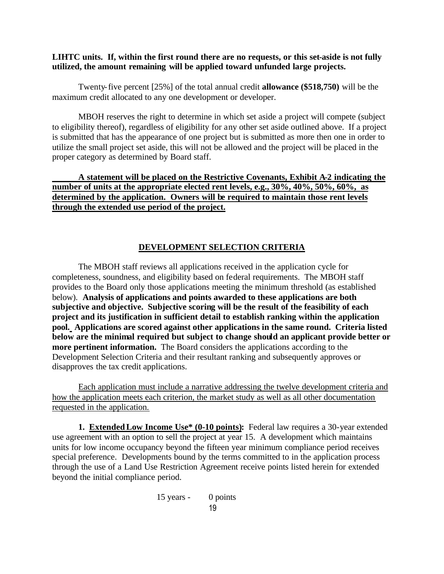# **LIHTC units. If, within the first round there are no requests, or this set-aside is not fully utilized, the amount remaining will be applied toward unfunded large projects.**

Twenty-five percent [25%] of the total annual credit **allowance (\$518,750)** will be the maximum credit allocated to any one development or developer.

MBOH reserves the right to determine in which set aside a project will compete (subject to eligibility thereof), regardless of eligibility for any other set aside outlined above. If a project is submitted that has the appearance of one project but is submitted as more then one in order to utilize the small project set aside, this will not be allowed and the project will be placed in the proper category as determined by Board staff.

# **A statement will be placed on the Restrictive Covenants, Exhibit A-2 indicating the number of units at the appropriate elected rent levels, e.g., 30%, 40%, 50%, 60%, as determined by the application. Owners will be required to maintain those rent levels through the extended use period of the project.**

# **DEVELOPMENT SELECTION CRITERIA**

The MBOH staff reviews all applications received in the application cycle for completeness, soundness, and eligibility based on federal requirements. The MBOH staff provides to the Board only those applications meeting the minimum threshold (as established below). **Analysis of applications and points awarded to these applications are both subjective and objective. Subjective scoring will be the result of the feasibility of each project and its justification in sufficient detail to establish ranking within the application pool. Applications are scored against other applications in the same round. Criteria listed below are the minimal required but subject to change should an applicant provide better or more pertinent information.** The Board considers the applications according to the Development Selection Criteria and their resultant ranking and subsequently approves or disapproves the tax credit applications.

Each application must include a narrative addressing the twelve development criteria and how the application meets each criterion, the market study as well as all other documentation requested in the application.

**1. Extended Low Income Use\* (0-10 points):** Federal law requires a 30-year extended use agreement with an option to sell the project at year 15. A development which maintains units for low income occupancy beyond the fifteen year minimum compliance period receives special preference. Developments bound by the terms committed to in the application process through the use of a Land Use Restriction Agreement receive points listed herein for extended beyond the initial compliance period.

$$
15 \text{ years} - 0 \text{ points} 19
$$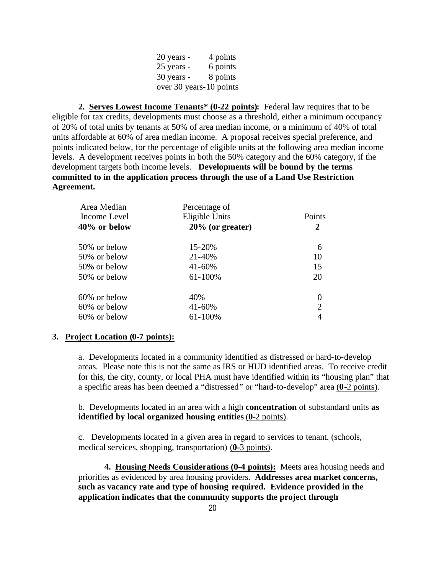| 20 years -              | 4 points |
|-------------------------|----------|
| 25 years -              | 6 points |
| 30 years -              | 8 points |
| over 30 years-10 points |          |

**2. Serves Lowest Income Tenants\* (0-22 points):** Federal law requires that to be eligible for tax credits, developments must choose as a threshold, either a minimum occupancy of 20% of total units by tenants at 50% of area median income, or a minimum of 40% of total units affordable at 60% of area median income. A proposal receives special preference, and points indicated below, for the percentage of eligible units at the following area median income levels. A development receives points in both the 50% category and the 60% category, if the development targets both income levels. **Developments will be bound by the terms committed to in the application process through the use of a Land Use Restriction Agreement.**

| Area Median     | Percentage of       |                |
|-----------------|---------------------|----------------|
| Income Level    | Eligible Units      | Points         |
| $40\%$ or below | $20\%$ (or greater) | $\mathbf 2$    |
| 50% or below    | 15-20%              | 6              |
| 50% or below    | 21-40%              | 10             |
| 50% or below    | $41 - 60%$          | 15             |
| 50% or below    | 61-100%             | 20             |
| 60% or below    | 40%                 | 0              |
| 60% or below    | $41 - 60%$          | $\overline{2}$ |
| 60% or below    | 61-100%             |                |
|                 |                     |                |

# **3. Project Location (0-7 points):**

a. Developments located in a community identified as distressed or hard-to-develop areas. Please note this is not the same as IRS or HUD identified areas. To receive credit for this, the city, county, or local PHA must have identified within its "housing plan" that a specific areas has been deemed a "distressed" or "hard-to-develop" area (**0-**2 points).

b. Developments located in an area with a high **concentration** of substandard units **as identified by local organized housing entities** (**0-**2 points).

c. Developments located in a given area in regard to services to tenant. (schools, medical services, shopping, transportation) (**0-**3 points).

**4. Housing Needs Considerations (0-4 points):** Meets area housing needs and priorities as evidenced by area housing providers. **Addresses area market concerns, such as vacancy rate and type of housing required. Evidence provided in the application indicates that the community supports the project through**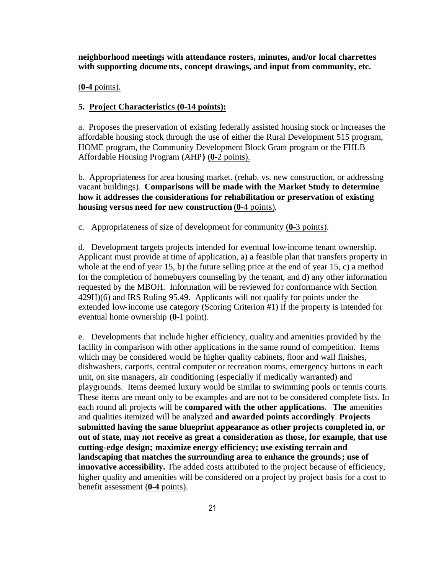**neighborhood meetings with attendance rosters, minutes, and/or local charrettes with supporting documents, concept drawings, and input from community, etc.** 

#### (**0-4** points).

# **5. Project Characteristics (0-14 points):**

a. Proposes the preservation of existing federally assisted housing stock or increases the affordable housing stock through the use of either the Rural Development 515 program, HOME program, the Community Development Block Grant program or the FHLB Affordable Housing Program (AHP**)** (**0-**2 points).

b. Appropriateness for area housing market. (rehab. vs. new construction, or addressing vacant buildings). **Comparisons will be made with the Market Study to determine how it addresses the considerations for rehabilitation or preservation of existing housing versus need for new construction** (**0-**4 points).

c. Appropriateness of size of development for community (**0-**3 points).

d. Development targets projects intended for eventual low-income tenant ownership. Applicant must provide at time of application, a) a feasible plan that transfers property in whole at the end of year 15, b) the future selling price at the end of year 15, c) a method for the completion of homebuyers counseling by the tenant, and d) any other information requested by the MBOH. Information will be reviewed for conformance with Section 429H)(6) and IRS Ruling 95.49. Applicants will not qualify for points under the extended low-income use category (Scoring Criterion #1) if the property is intended for eventual home ownership (**0-**1 point).

e. Developments that include higher efficiency, quality and amenities provided by the facility in comparison with other applications in the same round of competition. Items which may be considered would be higher quality cabinets, floor and wall finishes, dishwashers, carports, central computer or recreation rooms, emergency buttons in each unit, on site managers, air conditioning (especially if medically warranted) and playgrounds. Items deemed luxury would be similar to swimming pools or tennis courts. These items are meant only to be examples and are not to be considered complete lists. In each round all projects will be **compared with the other applications. The** amenities and qualities itemized will be analyzed **and awarded points accordingly**. **Projects submitted having the same blueprint appearance as other projects completed in, or out of state, may not receive as great a consideration as those, for example, that use cutting-edge design; maximize energy efficiency; use existing terrain and landscaping that matches the surrounding area to enhance the grounds; use of innovative accessibility.** The added costs attributed to the project because of efficiency, higher quality and amenities will be considered on a project by project basis for a cost to benefit assessment (**0-4** points).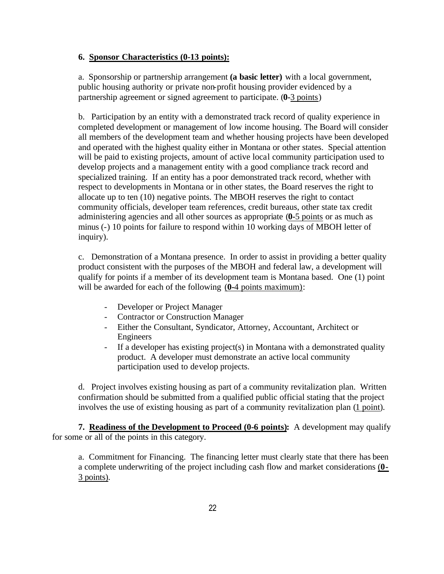# **6. Sponsor Characteristics (0-13 points):**

a. Sponsorship or partnership arrangement **(a basic letter)** with a local government, public housing authority or private non-profit housing provider evidenced by a partnership agreement or signed agreement to participate. (**0-**3 points)

b. Participation by an entity with a demonstrated track record of quality experience in completed development or management of low income housing. The Board will consider all members of the development team and whether housing projects have been developed and operated with the highest quality either in Montana or other states. Special attention will be paid to existing projects, amount of active local community participation used to develop projects and a management entity with a good compliance track record and specialized training. If an entity has a poor demonstrated track record, whether with respect to developments in Montana or in other states, the Board reserves the right to allocate up to ten (10) negative points. The MBOH reserves the right to contact community officials, developer team references, credit bureaus, other state tax credit administering agencies and all other sources as appropriate (**0-**5 points or as much as minus (-) 10 points for failure to respond within 10 working days of MBOH letter of inquiry).

c. Demonstration of a Montana presence. In order to assist in providing a better quality product consistent with the purposes of the MBOH and federal law, a development will qualify for points if a member of its development team is Montana based. One (1) point will be awarded for each of the following (**0-**4 points maximum):

- Developer or Project Manager
- Contractor or Construction Manager
- Either the Consultant, Syndicator, Attorney, Accountant, Architect or Engineers
- If a developer has existing project(s) in Montana with a demonstrated quality product. A developer must demonstrate an active local community participation used to develop projects.

d. Project involves existing housing as part of a community revitalization plan. Written confirmation should be submitted from a qualified public official stating that the project involves the use of existing housing as part of a community revitalization plan (1 point).

**7. Readiness of the Development to Proceed (0-6 points):** A development may qualify for some or all of the points in this category.

a. Commitment for Financing. The financing letter must clearly state that there has been a complete underwriting of the project including cash flow and market considerations (**0-** 3 points).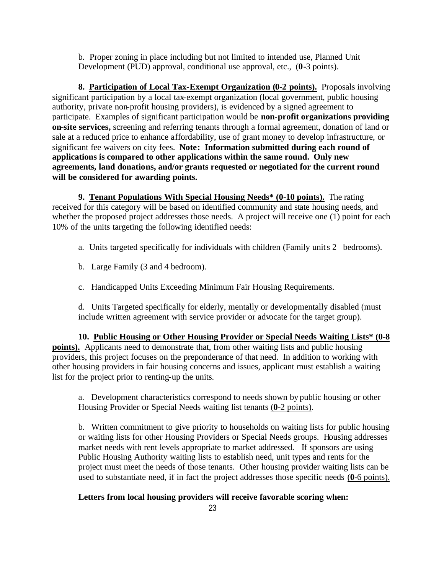b. Proper zoning in place including but not limited to intended use, Planned Unit Development (PUD) approval, conditional use approval, etc., (**0-**3 points).

**8. Participation of Local Tax-Exempt Organization (0-2 points).** Proposals involving significant participation by a local tax-exempt organization (local government, public housing authority, private non-profit housing providers), is evidenced by a signed agreement to participate. Examples of significant participation would be **non-profit organizations providing on-site services,** screening and referring tenants through a formal agreement, donation of land or sale at a reduced price to enhance affordability, use of grant money to develop infrastructure, or significant fee waivers on city fees. **Note: Information submitted during each round of applications is compared to other applications within the same round. Only new agreements, land donations, and/or grants requested or negotiated for the current round will be considered for awarding points.**

**9. Tenant Populations With Special Housing Needs\* (0-10 points).** The rating received for this category will be based on identified community and state housing needs, and whether the proposed project addresses those needs. A project will receive one (1) point for each 10% of the units targeting the following identified needs:

- a. Units targeted specifically for individuals with children (Family units 2 bedrooms).
- b. Large Family (3 and 4 bedroom).
- c. Handicapped Units Exceeding Minimum Fair Housing Requirements.

d. Units Targeted specifically for elderly, mentally or developmentally disabled (must include written agreement with service provider or advocate for the target group).

**10. Public Housing or Other Housing Provider or Special Needs Waiting Lists\* (0-8 points).** Applicants need to demonstrate that, from other waiting lists and public housing providers, this project focuses on the preponderance of that need. In addition to working with other housing providers in fair housing concerns and issues, applicant must establish a waiting list for the project prior to renting-up the units.

a. Development characteristics correspond to needs shown by public housing or other Housing Provider or Special Needs waiting list tenants (**0-**2 points).

b. Written commitment to give priority to households on waiting lists for public housing or waiting lists for other Housing Providers or Special Needs groups. Housing addresses market needs with rent levels appropriate to market addressed. If sponsors are using Public Housing Authority waiting lists to establish need, unit types and rents for the project must meet the needs of those tenants. Other housing provider waiting lists can be used to substantiate need, if in fact the project addresses those specific needs (**0-**6 points).

# **Letters from local housing providers will receive favorable scoring when:**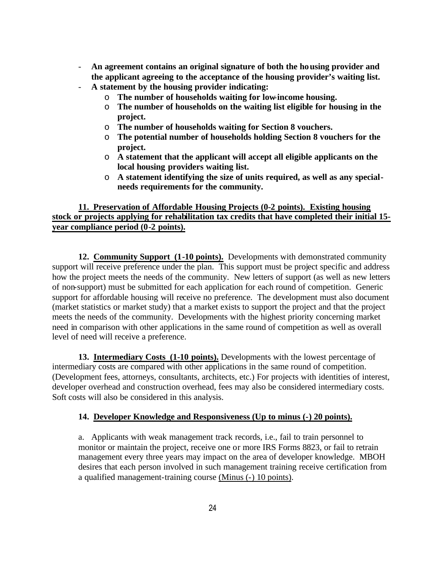- **An agreement contains an original signature of both the housing provider and the applicant agreeing to the acceptance of the housing provider's waiting list.**
- **A statement by the housing provider indicating:**
	- o **The number of households waiting for low-income housing.**
	- o **The number of households on the waiting list eligible for housing in the project.**
	- o **The number of households waiting for Section 8 vouchers.**
	- o **The potential number of households holding Section 8 vouchers for the project.**
	- o **A statement that the applicant will accept all eligible applicants on the local housing providers waiting list.**
	- o **A statement identifying the size of units required, as well as any specialneeds requirements for the community.**

# **11. Preservation of Affordable Housing Projects (0-2 points). Existing housing stock or projects applying for rehabilitation tax credits that have completed their initial 15 year compliance period (0-2 points).**

**12. Community Support (1-10 points).** Developments with demonstrated community support will receive preference under the plan. This support must be project specific and address how the project meets the needs of the community. New letters of support (as well as new letters of non-support) must be submitted for each application for each round of competition. Generic support for affordable housing will receive no preference. The development must also document (market statistics or market study) that a market exists to support the project and that the project meets the needs of the community. Developments with the highest priority concerning market need in comparison with other applications in the same round of competition as well as overall level of need will receive a preference.

**13. Intermediary Costs (1-10 points).** Developments with the lowest percentage of intermediary costs are compared with other applications in the same round of competition. (Development fees, attorneys, consultants, architects, etc.) For projects with identities of interest, developer overhead and construction overhead, fees may also be considered intermediary costs. Soft costs will also be considered in this analysis.

# **14. Developer Knowledge and Responsiveness (Up to minus (-) 20 points).**

a. Applicants with weak management track records, i.e., fail to train personnel to monitor or maintain the project, receive one or more IRS Forms 8823, or fail to retrain management every three years may impact on the area of developer knowledge. MBOH desires that each person involved in such management training receive certification from a qualified management-training course (Minus (-) 10 points).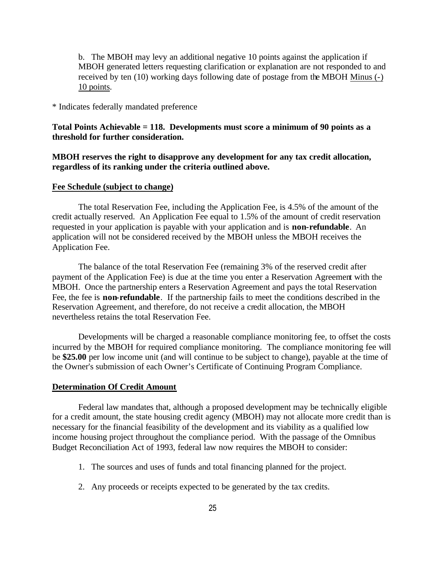b. The MBOH may levy an additional negative 10 points against the application if MBOH generated letters requesting clarification or explanation are not responded to and received by ten (10) working days following date of postage from the MBOH Minus (-) 10 points.

\* Indicates federally mandated preference

**Total Points Achievable = 118. Developments must score a minimum of 90 points as a threshold for further consideration.**

**MBOH reserves the right to disapprove any development for any tax credit allocation, regardless of its ranking under the criteria outlined above.**

### **Fee Schedule (subject to change)**

The total Reservation Fee, including the Application Fee, is 4.5% of the amount of the credit actually reserved. An Application Fee equal to 1.5% of the amount of credit reservation requested in your application is payable with your application and is **non-refundable**. An application will not be considered received by the MBOH unless the MBOH receives the Application Fee.

The balance of the total Reservation Fee (remaining 3% of the reserved credit after payment of the Application Fee) is due at the time you enter a Reservation Agreement with the MBOH. Once the partnership enters a Reservation Agreement and pays the total Reservation Fee, the fee is **non-refundable**. If the partnership fails to meet the conditions described in the Reservation Agreement, and therefore, do not receive a credit allocation, the MBOH nevertheless retains the total Reservation Fee.

Developments will be charged a reasonable compliance monitoring fee, to offset the costs incurred by the MBOH for required compliance monitoring. The compliance monitoring fee will be **\$25.00** per low income unit (and will continue to be subject to change), payable at the time of the Owner's submission of each Owner's Certificate of Continuing Program Compliance.

#### **Determination Of Credit Amount**

Federal law mandates that, although a proposed development may be technically eligible for a credit amount, the state housing credit agency (MBOH) may not allocate more credit than is necessary for the financial feasibility of the development and its viability as a qualified low income housing project throughout the compliance period. With the passage of the Omnibus Budget Reconciliation Act of 1993, federal law now requires the MBOH to consider:

- 1. The sources and uses of funds and total financing planned for the project.
- 2. Any proceeds or receipts expected to be generated by the tax credits.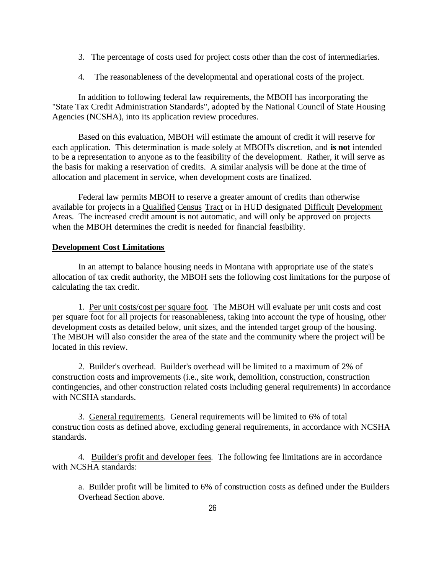- 3. The percentage of costs used for project costs other than the cost of intermediaries.
- 4. The reasonableness of the developmental and operational costs of the project.

In addition to following federal law requirements, the MBOH has incorporating the "State Tax Credit Administration Standards", adopted by the National Council of State Housing Agencies (NCSHA), into its application review procedures.

Based on this evaluation, MBOH will estimate the amount of credit it will reserve for each application. This determination is made solely at MBOH's discretion, and **is not** intended to be a representation to anyone as to the feasibility of the development. Rather, it will serve as the basis for making a reservation of credits. A similar analysis will be done at the time of allocation and placement in service, when development costs are finalized.

Federal law permits MBOH to reserve a greater amount of credits than otherwise available for projects in a Qualified Census Tract or in HUD designated Difficult Development Areas. The increased credit amount is not automatic, and will only be approved on projects when the MBOH determines the credit is needed for financial feasibility.

# **Development Cost Limitations**

In an attempt to balance housing needs in Montana with appropriate use of the state's allocation of tax credit authority, the MBOH sets the following cost limitations for the purpose of calculating the tax credit.

1. Per unit costs/cost per square foot. The MBOH will evaluate per unit costs and cost per square foot for all projects for reasonableness, taking into account the type of housing, other development costs as detailed below, unit sizes, and the intended target group of the housing. The MBOH will also consider the area of the state and the community where the project will be located in this review.

2. Builder's overhead. Builder's overhead will be limited to a maximum of 2% of construction costs and improvements (i.e., site work, demolition, construction, construction contingencies, and other construction related costs including general requirements) in accordance with NCSHA standards.

3. General requirements. General requirements will be limited to 6% of total construction costs as defined above, excluding general requirements, in accordance with NCSHA standards.

4. Builder's profit and developer fees. The following fee limitations are in accordance with NCSHA standards:

a. Builder profit will be limited to 6% of construction costs as defined under the Builders Overhead Section above.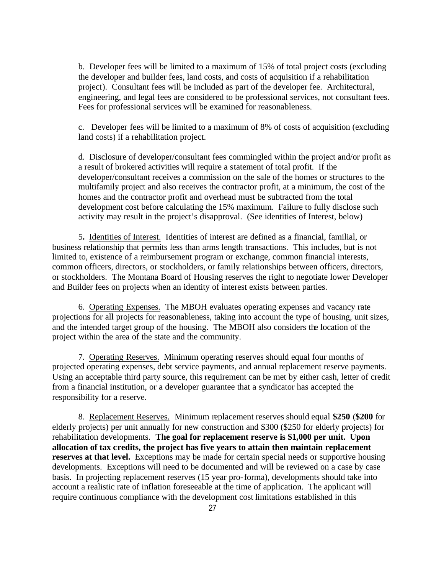b. Developer fees will be limited to a maximum of 15% of total project costs (excluding the developer and builder fees, land costs, and costs of acquisition if a rehabilitation project). Consultant fees will be included as part of the developer fee. Architectural, engineering, and legal fees are considered to be professional services, not consultant fees. Fees for professional services will be examined for reasonableness.

c. Developer fees will be limited to a maximum of 8% of costs of acquisition (excluding land costs) if a rehabilitation project.

d. Disclosure of developer/consultant fees commingled within the project and/or profit as a result of brokered activities will require a statement of total profit. If the developer/consultant receives a commission on the sale of the homes or structures to the multifamily project and also receives the contractor profit, at a minimum, the cost of the homes and the contractor profit and overhead must be subtracted from the total development cost before calculating the 15% maximum. Failure to fully disclose such activity may result in the project's disapproval. (See identities of Interest, below)

5**.** Identities of Interest. Identities of interest are defined as a financial, familial, or business relationship that permits less than arms length transactions. This includes, but is not limited to, existence of a reimbursement program or exchange, common financial interests, common officers, directors, or stockholders, or family relationships between officers, directors, or stockholders. The Montana Board of Housing reserves the right to negotiate lower Developer and Builder fees on projects when an identity of interest exists between parties.

6. Operating Expenses. The MBOH evaluates operating expenses and vacancy rate projections for all projects for reasonableness, taking into account the type of housing, unit sizes, and the intended target group of the housing. The MBOH also considers the location of the project within the area of the state and the community.

7. Operating Reserves. Minimum operating reserves should equal four months of projected operating expenses, debt service payments, and annual replacement reserve payments. Using an acceptable third party source, this requirement can be met by either cash, letter of credit from a financial institution, or a developer guarantee that a syndicator has accepted the responsibility for a reserve.

8. Replacement Reserves. Minimum replacement reserves should equal **\$250** (**\$200** for elderly projects) per unit annually for new construction and \$300 (\$250 for elderly projects) for rehabilitation developments. **The goal for replacement reserve is \$1,000 per unit. Upon allocation of tax credits, the project has five years to attain then maintain replacement reserves at that level.** Exceptions may be made for certain special needs or supportive housing developments. Exceptions will need to be documented and will be reviewed on a case by case basis. In projecting replacement reserves (15 year pro-forma), developments should take into account a realistic rate of inflation foreseeable at the time of application. The applicant will require continuous compliance with the development cost limitations established in this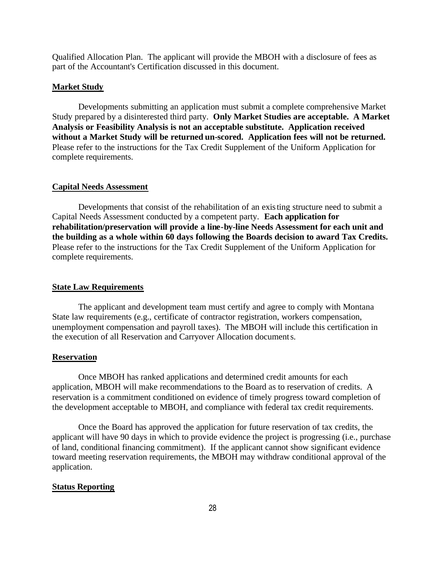Qualified Allocation Plan. The applicant will provide the MBOH with a disclosure of fees as part of the Accountant's Certification discussed in this document.

#### **Market Study**

Developments submitting an application must submit a complete comprehensive Market Study prepared by a disinterested third party. **Only Market Studies are acceptable. A Market Analysis or Feasibility Analysis is not an acceptable substitute. Application received without a Market Study will be returned un-scored. Application fees will not be returned.** Please refer to the instructions for the Tax Credit Supplement of the Uniform Application for complete requirements.

### **Capital Needs Assessment**

Developments that consist of the rehabilitation of an existing structure need to submit a Capital Needs Assessment conducted by a competent party. **Each application for rehabilitation/preservation will provide a line-by-line Needs Assessment for each unit and the building as a whole within 60 days following the Boards decision to award Tax Credits.**  Please refer to the instructions for the Tax Credit Supplement of the Uniform Application for complete requirements.

#### **State Law Requirements**

The applicant and development team must certify and agree to comply with Montana State law requirements (e.g., certificate of contractor registration, workers compensation, unemployment compensation and payroll taxes). The MBOH will include this certification in the execution of all Reservation and Carryover Allocation documents.

### **Reservation**

Once MBOH has ranked applications and determined credit amounts for each application, MBOH will make recommendations to the Board as to reservation of credits. A reservation is a commitment conditioned on evidence of timely progress toward completion of the development acceptable to MBOH, and compliance with federal tax credit requirements.

Once the Board has approved the application for future reservation of tax credits, the applicant will have 90 days in which to provide evidence the project is progressing (i.e., purchase of land, conditional financing commitment). If the applicant cannot show significant evidence toward meeting reservation requirements, the MBOH may withdraw conditional approval of the application.

### **Status Reporting**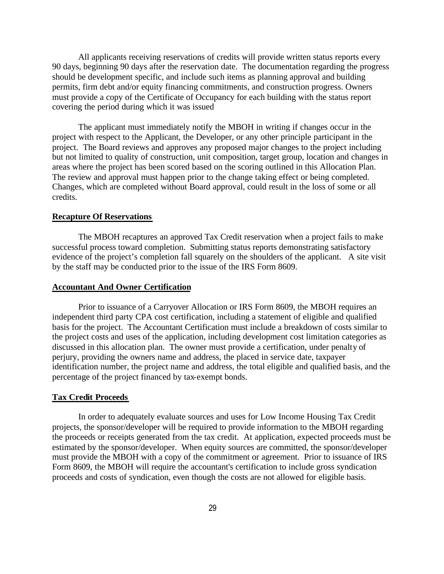All applicants receiving reservations of credits will provide written status reports every 90 days, beginning 90 days after the reservation date. The documentation regarding the progress should be development specific, and include such items as planning approval and building permits, firm debt and/or equity financing commitments, and construction progress. Owners must provide a copy of the Certificate of Occupancy for each building with the status report covering the period during which it was issued

The applicant must immediately notify the MBOH in writing if changes occur in the project with respect to the Applicant, the Developer, or any other principle participant in the project. The Board reviews and approves any proposed major changes to the project including but not limited to quality of construction, unit composition, target group, location and changes in areas where the project has been scored based on the scoring outlined in this Allocation Plan. The review and approval must happen prior to the change taking effect or being completed. Changes, which are completed without Board approval, could result in the loss of some or all credits.

### **Recapture Of Reservations**

The MBOH recaptures an approved Tax Credit reservation when a project fails to make successful process toward completion. Submitting status reports demonstrating satisfactory evidence of the project's completion fall squarely on the shoulders of the applicant. A site visit by the staff may be conducted prior to the issue of the IRS Form 8609.

### **Accountant And Owner Certification**

Prior to issuance of a Carryover Allocation or IRS Form 8609, the MBOH requires an independent third party CPA cost certification, including a statement of eligible and qualified basis for the project. The Accountant Certification must include a breakdown of costs similar to the project costs and uses of the application, including development cost limitation categories as discussed in this allocation plan. The owner must provide a certification, under penalty of perjury, providing the owners name and address, the placed in service date, taxpayer identification number, the project name and address, the total eligible and qualified basis, and the percentage of the project financed by tax-exempt bonds.

#### **Tax Credit Proceeds**

In order to adequately evaluate sources and uses for Low Income Housing Tax Credit projects, the sponsor/developer will be required to provide information to the MBOH regarding the proceeds or receipts generated from the tax credit. At application, expected proceeds must be estimated by the sponsor/developer. When equity sources are committed, the sponsor/developer must provide the MBOH with a copy of the commitment or agreement. Prior to issuance of IRS Form 8609, the MBOH will require the accountant's certification to include gross syndication proceeds and costs of syndication, even though the costs are not allowed for eligible basis.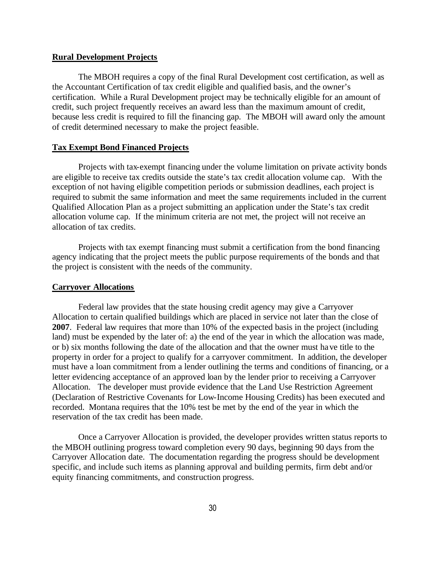#### **Rural Development Projects**

The MBOH requires a copy of the final Rural Development cost certification, as well as the Accountant Certification of tax credit eligible and qualified basis, and the owner's certification. While a Rural Development project may be technically eligible for an amount of credit, such project frequently receives an award less than the maximum amount of credit, because less credit is required to fill the financing gap. The MBOH will award only the amount of credit determined necessary to make the project feasible.

### **Tax Exempt Bond Financed Projects**

Projects with tax-exempt financing under the volume limitation on private activity bonds are eligible to receive tax credits outside the state's tax credit allocation volume cap. With the exception of not having eligible competition periods or submission deadlines, each project is required to submit the same information and meet the same requirements included in the current Qualified Allocation Plan as a project submitting an application under the State's tax credit allocation volume cap. If the minimum criteria are not met, the project will not receive an allocation of tax credits.

Projects with tax exempt financing must submit a certification from the bond financing agency indicating that the project meets the public purpose requirements of the bonds and that the project is consistent with the needs of the community.

#### **Carryover Allocations**

Federal law provides that the state housing credit agency may give a Carryover Allocation to certain qualified buildings which are placed in service not later than the close of **2007**. Federal law requires that more than 10% of the expected basis in the project (including land) must be expended by the later of: a) the end of the year in which the allocation was made, or b) six months following the date of the allocation and that the owner must have title to the property in order for a project to qualify for a carryover commitment. In addition, the developer must have a loan commitment from a lender outlining the terms and conditions of financing, or a letter evidencing acceptance of an approved loan by the lender prior to receiving a Carryover Allocation. The developer must provide evidence that the Land Use Restriction Agreement (Declaration of Restrictive Covenants for Low-Income Housing Credits) has been executed and recorded. Montana requires that the 10% test be met by the end of the year in which the reservation of the tax credit has been made.

Once a Carryover Allocation is provided, the developer provides written status reports to the MBOH outlining progress toward completion every 90 days, beginning 90 days from the Carryover Allocation date. The documentation regarding the progress should be development specific, and include such items as planning approval and building permits, firm debt and/or equity financing commitments, and construction progress.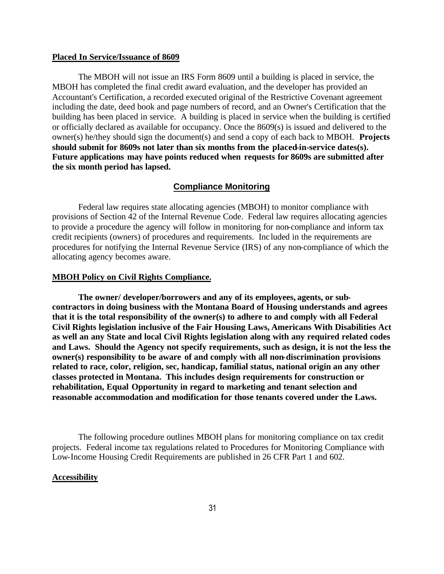#### **Placed In Service/Issuance of 8609**

The MBOH will not issue an IRS Form 8609 until a building is placed in service, the MBOH has completed the final credit award evaluation, and the developer has provided an Accountant's Certification, a recorded executed original of the Restrictive Covenant agreement including the date, deed book and page numbers of record, and an Owner's Certification that the building has been placed in service. A building is placed in service when the building is certified or officially declared as available for occupancy. Once the 8609(s) is issued and delivered to the owner(s) he/they should sign the document(s) and send a copy of each back to MBOH. **Projects should submit for 8609s not later than six months from the placed-in-service dates(s). Future applications may have points reduced when requests for 8609s are submitted after the six month period has lapsed.**

# **Compliance Monitoring**

Federal law requires state allocating agencies (MBOH) to monitor compliance with provisions of Section 42 of the Internal Revenue Code. Federal law requires allocating agencies to provide a procedure the agency will follow in monitoring for non-compliance and inform tax credit recipients (owners) of procedures and requirements. Inc luded in the requirements are procedures for notifying the Internal Revenue Service (IRS) of any non-compliance of which the allocating agency becomes aware.

#### **MBOH Policy on Civil Rights Compliance.**

**The owner/ developer/borrowers and any of its employees, agents, or subcontractors in doing business with the Montana Board of Housing understands and agrees that it is the total responsibility of the owner(s) to adhere to and comply with all Federal Civil Rights legislation inclusive of the Fair Housing Laws, Americans With Disabilities Act as well an any State and local Civil Rights legislation along with any required related codes and Laws. Should the Agency not specify requirements, such as design, it is not the less the owner(s) responsibility to be aware of and comply with all non-discrimination provisions related to race, color, religion, sec, handicap, familial status, national origin an any other classes protected in Montana. This includes design requirements for construction or rehabilitation, Equal Opportunity in regard to marketing and tenant selection and reasonable accommodation and modification for those tenants covered under the Laws.**

The following procedure outlines MBOH plans for monitoring compliance on tax credit projects. Federal income tax regulations related to Procedures for Monitoring Compliance with Low-Income Housing Credit Requirements are published in 26 CFR Part 1 and 602.

#### **Accessibility**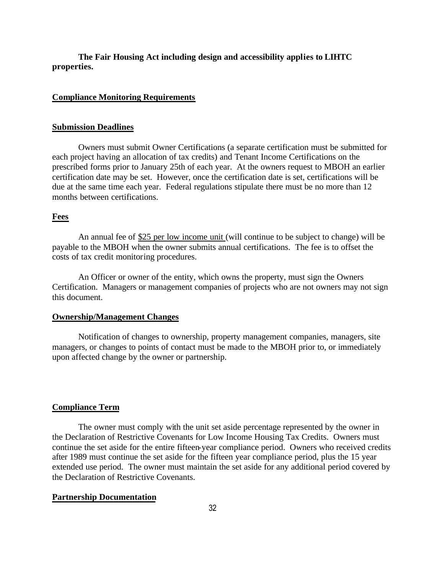**The Fair Housing Act including design and accessibility applies to LIHTC properties.**

### **Compliance Monitoring Requirements**

# **Submission Deadlines**

Owners must submit Owner Certifications (a separate certification must be submitted for each project having an allocation of tax credits) and Tenant Income Certifications on the prescribed forms prior to January 25th of each year. At the owners request to MBOH an earlier certification date may be set. However, once the certification date is set, certifications will be due at the same time each year. Federal regulations stipulate there must be no more than 12 months between certifications.

#### **Fees**

An annual fee of \$25 per low income unit (will continue to be subject to change) will be payable to the MBOH when the owner submits annual certifications. The fee is to offset the costs of tax credit monitoring procedures.

An Officer or owner of the entity, which owns the property, must sign the Owners Certification. Managers or management companies of projects who are not owners may not sign this document.

# **Ownership/Management Changes**

Notification of changes to ownership, property management companies, managers, site managers, or changes to points of contact must be made to the MBOH prior to, or immediately upon affected change by the owner or partnership.

# **Compliance Term**

The owner must comply with the unit set aside percentage represented by the owner in the Declaration of Restrictive Covenants for Low Income Housing Tax Credits. Owners must continue the set aside for the entire fifteen-year compliance period. Owners who received credits after 1989 must continue the set aside for the fifteen year compliance period, plus the 15 year extended use period. The owner must maintain the set aside for any additional period covered by the Declaration of Restrictive Covenants.

#### **Partnership Documentation**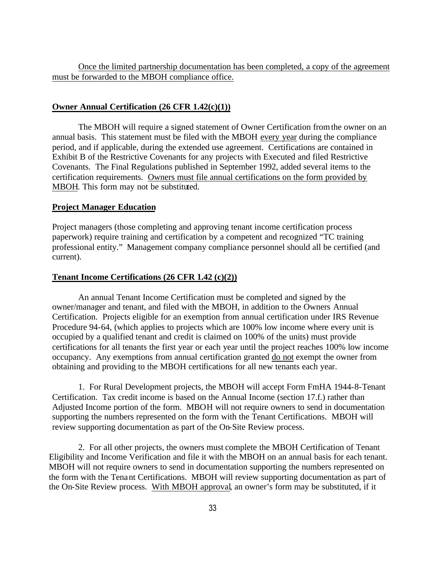Once the limited partnership documentation has been completed, a copy of the agreement must be forwarded to the MBOH compliance office.

# **Owner Annual Certification (26 CFR 1.42(c)(1))**

The MBOH will require a signed statement of Owner Certification from the owner on an annual basis. This statement must be filed with the MBOH every year during the compliance period, and if applicable, during the extended use agreement. Certifications are contained in Exhibit B of the Restrictive Covenants for any projects with Executed and filed Restrictive Covenants. The Final Regulations published in September 1992, added several items to the certification requirements. Owners must file annual certifications on the form provided by MBOH. This form may not be substituted.

#### **Project Manager Education**

Project managers (those completing and approving tenant income certification process paperwork) require training and certification by a competent and recognized "TC training professional entity." Management company compliance personnel should all be certified (and current).

# **Tenant Income Certifications (26 CFR 1.42 (c)(2))**

An annual Tenant Income Certification must be completed and signed by the owner/manager and tenant, and filed with the MBOH, in addition to the Owners Annual Certification. Projects eligible for an exemption from annual certification under IRS Revenue Procedure 94-64, (which applies to projects which are 100% low income where every unit is occupied by a qualified tenant and credit is claimed on 100% of the units) must provide certifications for all tenants the first year or each year until the project reaches 100% low income occupancy. Any exemptions from annual certification granted do not exempt the owner from obtaining and providing to the MBOH certifications for all new tenants each year.

1. For Rural Development projects, the MBOH will accept Form FmHA 1944-8-Tenant Certification. Tax credit income is based on the Annual Income (section 17.f.) rather than Adjusted Income portion of the form. MBOH will not require owners to send in documentation supporting the numbers represented on the form with the Tenant Certifications. MBOH will review supporting documentation as part of the On-Site Review process.

2. For all other projects, the owners must complete the MBOH Certification of Tenant Eligibility and Income Verification and file it with the MBOH on an annual basis for each tenant. MBOH will not require owners to send in documentation supporting the numbers represented on the form with the Tenant Certifications. MBOH will review supporting documentation as part of the On-Site Review process. With MBOH approval, an owner's form may be substituted, if it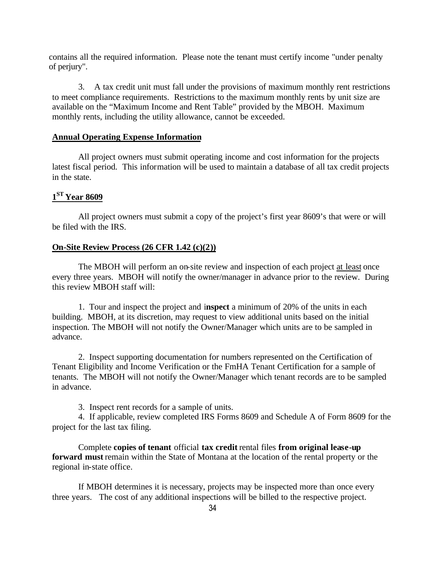contains all the required information. Please note the tenant must certify income "under penalty of perjury".

3. A tax credit unit must fall under the provisions of maximum monthly rent restrictions to meet compliance requirements. Restrictions to the maximum monthly rents by unit size are available on the "Maximum Income and Rent Table" provided by the MBOH. Maximum monthly rents, including the utility allowance, cannot be exceeded.

# **Annual Operating Expense Information**

All project owners must submit operating income and cost information for the projects latest fiscal period. This information will be used to maintain a database of all tax credit projects in the state.

# **1 ST Year 8609**

All project owners must submit a copy of the project's first year 8609's that were or will be filed with the IRS.

# **On-Site Review Process (26 CFR 1.42 (c)(2))**

The MBOH will perform an on-site review and inspection of each project at least once every three years. MBOH will notify the owner/manager in advance prior to the review. During this review MBOH staff will:

1. Tour and inspect the project and i**nspect** a minimum of 20% of the units in each building. MBOH, at its discretion, may request to view additional units based on the initial inspection. The MBOH will not notify the Owner/Manager which units are to be sampled in advance.

2. Inspect supporting documentation for numbers represented on the Certification of Tenant Eligibility and Income Verification or the FmHA Tenant Certification for a sample of tenants. The MBOH will not notify the Owner/Manager which tenant records are to be sampled in advance.

3. Inspect rent records for a sample of units.

4. If applicable, review completed IRS Forms 8609 and Schedule A of Form 8609 for the project for the last tax filing.

Complete **copies of tenant** official **tax credit** rental files **from original lease-up forward must** remain within the State of Montana at the location of the rental property or the regional in-state office.

If MBOH determines it is necessary, projects may be inspected more than once every three years. The cost of any additional inspections will be billed to the respective project.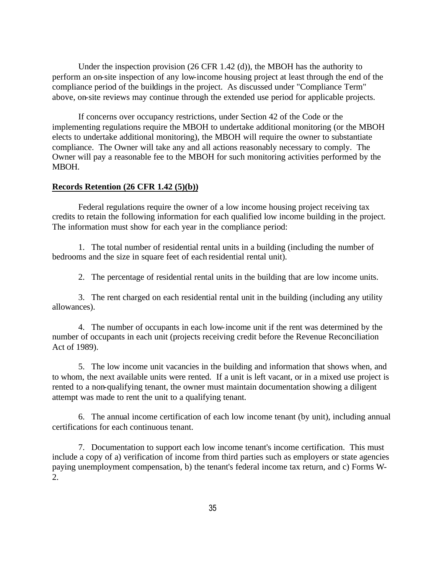Under the inspection provision (26 CFR 1.42 (d)), the MBOH has the authority to perform an on-site inspection of any low-income housing project at least through the end of the compliance period of the buildings in the project. As discussed under "Compliance Term" above, on-site reviews may continue through the extended use period for applicable projects.

If concerns over occupancy restrictions, under Section 42 of the Code or the implementing regulations require the MBOH to undertake additional monitoring (or the MBOH elects to undertake additional monitoring), the MBOH will require the owner to substantiate compliance. The Owner will take any and all actions reasonably necessary to comply. The Owner will pay a reasonable fee to the MBOH for such monitoring activities performed by the MBOH.

# **Records Retention (26 CFR 1.42 (5)(b))**

Federal regulations require the owner of a low income housing project receiving tax credits to retain the following information for each qualified low income building in the project. The information must show for each year in the compliance period:

1. The total number of residential rental units in a building (including the number of bedrooms and the size in square feet of each residential rental unit).

2. The percentage of residential rental units in the building that are low income units.

3. The rent charged on each residential rental unit in the building (including any utility allowances).

4. The number of occupants in each low-income unit if the rent was determined by the number of occupants in each unit (projects receiving credit before the Revenue Reconciliation Act of 1989).

5. The low income unit vacancies in the building and information that shows when, and to whom, the next available units were rented. If a unit is left vacant, or in a mixed use project is rented to a non-qualifying tenant, the owner must maintain documentation showing a diligent attempt was made to rent the unit to a qualifying tenant.

6. The annual income certification of each low income tenant (by unit), including annual certifications for each continuous tenant.

7. Documentation to support each low income tenant's income certification. This must include a copy of a) verification of income from third parties such as employers or state agencies paying unemployment compensation, b) the tenant's federal income tax return, and c) Forms W-2.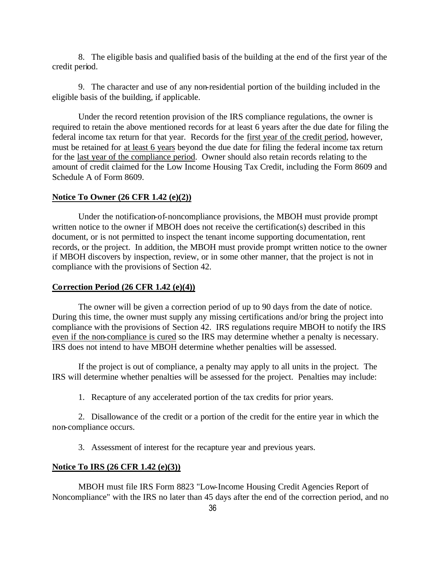8. The eligible basis and qualified basis of the building at the end of the first year of the credit period.

9. The character and use of any non-residential portion of the building included in the eligible basis of the building, if applicable.

Under the record retention provision of the IRS compliance regulations, the owner is required to retain the above mentioned records for at least 6 years after the due date for filing the federal income tax return for that year. Records for the first year of the credit period, however, must be retained for at least 6 years beyond the due date for filing the federal income tax return for the last year of the compliance period. Owner should also retain records relating to the amount of credit claimed for the Low Income Housing Tax Credit, including the Form 8609 and Schedule A of Form 8609.

### **Notice To Owner (26 CFR 1.42 (e)(2))**

Under the notification-of-noncompliance provisions, the MBOH must provide prompt written notice to the owner if MBOH does not receive the certification(s) described in this document, or is not permitted to inspect the tenant income supporting documentation, rent records, or the project. In addition, the MBOH must provide prompt written notice to the owner if MBOH discovers by inspection, review, or in some other manner, that the project is not in compliance with the provisions of Section 42.

### **Correction Period (26 CFR 1.42 (e)(4))**

The owner will be given a correction period of up to 90 days from the date of notice. During this time, the owner must supply any missing certifications and/or bring the project into compliance with the provisions of Section 42. IRS regulations require MBOH to notify the IRS even if the non-compliance is cured so the IRS may determine whether a penalty is necessary. IRS does not intend to have MBOH determine whether penalties will be assessed.

If the project is out of compliance, a penalty may apply to all units in the project. The IRS will determine whether penalties will be assessed for the project. Penalties may include:

1. Recapture of any accelerated portion of the tax credits for prior years.

2. Disallowance of the credit or a portion of the credit for the entire year in which the non-compliance occurs.

3. Assessment of interest for the recapture year and previous years.

# **Notice To IRS (26 CFR 1.42 (e)(3))**

MBOH must file IRS Form 8823 "Low-Income Housing Credit Agencies Report of Noncompliance" with the IRS no later than 45 days after the end of the correction period, and no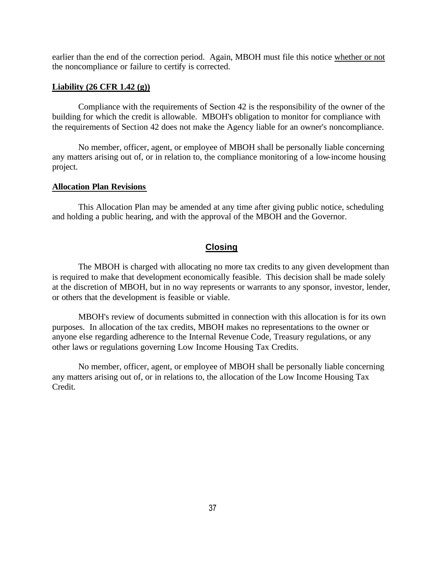earlier than the end of the correction period. Again, MBOH must file this notice whether or not the noncompliance or failure to certify is corrected.

#### **Liability (26 CFR 1.42 (g))**

Compliance with the requirements of Section 42 is the responsibility of the owner of the building for which the credit is allowable. MBOH's obligation to monitor for compliance with the requirements of Section 42 does not make the Agency liable for an owner's noncompliance.

No member, officer, agent, or employee of MBOH shall be personally liable concerning any matters arising out of, or in relation to, the compliance monitoring of a low-income housing project.

### **Allocation Plan Revisions**

This Allocation Plan may be amended at any time after giving public notice, scheduling and holding a public hearing, and with the approval of the MBOH and the Governor.

# **Closing**

The MBOH is charged with allocating no more tax credits to any given development than is required to make that development economically feasible. This decision shall be made solely at the discretion of MBOH, but in no way represents or warrants to any sponsor, investor, lender, or others that the development is feasible or viable.

MBOH's review of documents submitted in connection with this allocation is for its own purposes. In allocation of the tax credits, MBOH makes no representations to the owner or anyone else regarding adherence to the Internal Revenue Code, Treasury regulations, or any other laws or regulations governing Low Income Housing Tax Credits.

No member, officer, agent, or employee of MBOH shall be personally liable concerning any matters arising out of, or in relations to, the allocation of the Low Income Housing Tax Credit.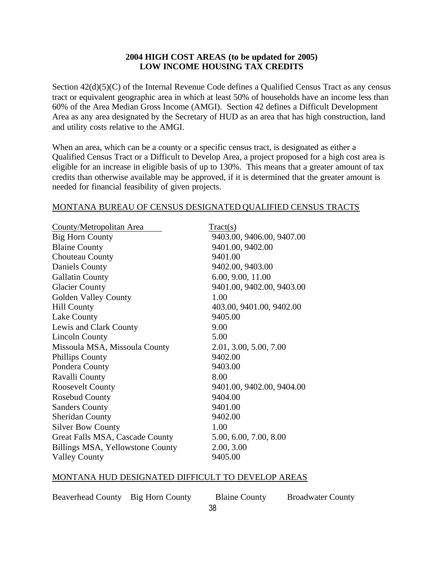# **2004 HIGH COST AREAS (to be updated for 2005) LOW INCOME HOUSING TAX CREDITS**

Section 42(d)(5)(C) of the Internal Revenue Code defines a Qualified Census Tract as any census tract or equivalent geographic area in which at least 50% of households have an income less than 60% of the Area Median Gross Income (AMGI). Section 42 defines a Difficult Development Area as any area designated by the Secretary of HUD as an area that has high construction, land and utility costs relative to the AMGI.

When an area, which can be a county or a specific census tract, is designated as either a Qualified Census Tract or a Difficult to Develop Area, a project proposed for a high cost area is eligible for an increase in eligible basis of up to 130%. This means that a greater amount of tax credits than otherwise available may be approved, if it is determined that the greater amount is needed for financial feasibility of given projects.

# MONTANA BUREAU OF CENSUS DESIGNATED QUALIFIED CENSUS TRACTS

| County/Metropolitan Area         | Tract(s)                  |
|----------------------------------|---------------------------|
| <b>Big Horn County</b>           | 9403.00, 9406.00, 9407.00 |
| <b>Blaine County</b>             | 9401.00, 9402.00          |
| Chouteau County                  | 9401.00                   |
| Daniels County                   | 9402.00, 9403.00          |
| <b>Gallatin County</b>           | 6.00, 9.00, 11.00         |
| <b>Glacier County</b>            | 9401.00, 9402.00, 9403.00 |
| Golden Valley County             | 1.00                      |
| <b>Hill County</b>               | 403.00, 9401.00, 9402.00  |
| Lake County                      | 9405.00                   |
| Lewis and Clark County           | 9.00                      |
| <b>Lincoln County</b>            | 5.00                      |
| Missoula MSA, Missoula County    | 2.01, 3.00, 5.00, 7.00    |
| <b>Phillips County</b>           | 9402.00                   |
| Pondera County                   | 9403.00                   |
| Ravalli County                   | 8.00                      |
| <b>Roosevelt County</b>          | 9401.00, 9402.00, 9404.00 |
| <b>Rosebud County</b>            | 9404.00                   |
| <b>Sanders County</b>            | 9401.00                   |
| <b>Sheridan County</b>           | 9402.00                   |
| <b>Silver Bow County</b>         | 1.00                      |
| Great Falls MSA, Cascade County  | 5.00, 6.00, 7.00, 8.00    |
| Billings MSA, Yellowstone County | 2.00, 3.00                |
| <b>Valley County</b>             | 9405.00                   |

# MONTANA HUD DESIGNATED DIFFICULT TO DEVELOP AREAS

Beaverhead County Big Horn County Blaine County Broadwater County